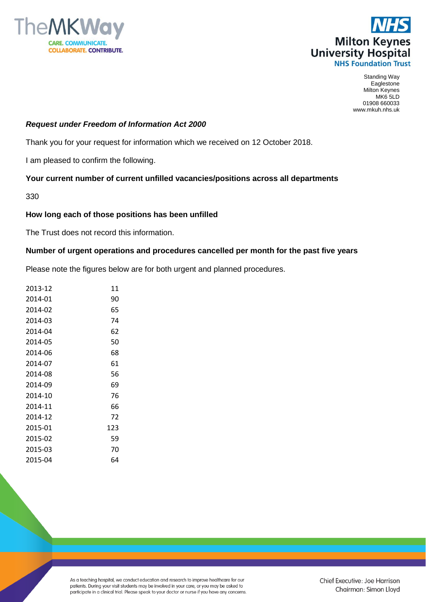



Standing Way **Eaglestone** Milton Keynes MK6 5LD 01908 660033 www.mkuh.nhs.uk

## *Request under Freedom of Information Act 2000*

Thank you for your request for information which we received on 12 October 2018.

I am pleased to confirm the following.

## **Your current number of current unfilled vacancies/positions across all departments**

330

## **How long each of those positions has been unfilled**

The Trust does not record this information.

## **Number of urgent operations and procedures cancelled per month for the past five years**

Please note the figures below are for both urgent and planned procedures.

| 2013-12 | 11  |
|---------|-----|
| 2014-01 | 90  |
| 2014-02 | 65  |
| 2014-03 | 74  |
| 2014-04 | 62  |
| 2014-05 | 50  |
| 2014-06 | 68  |
| 2014-07 | 61  |
| 2014-08 | 56  |
| 2014-09 | 69  |
| 2014-10 | 76  |
| 2014-11 | 66  |
| 2014-12 | 72  |
| 2015-01 | 123 |
| 2015-02 | 59  |
| 2015-03 | 70  |
| 2015-04 | 64  |

As a teaching hospital, we conduct education and research to improve healthcare for our patients. During your visit students may be involved in your care, or you may be asked to participate in a clinical trial. Please speak to your doctor or nurse if you have any concerns.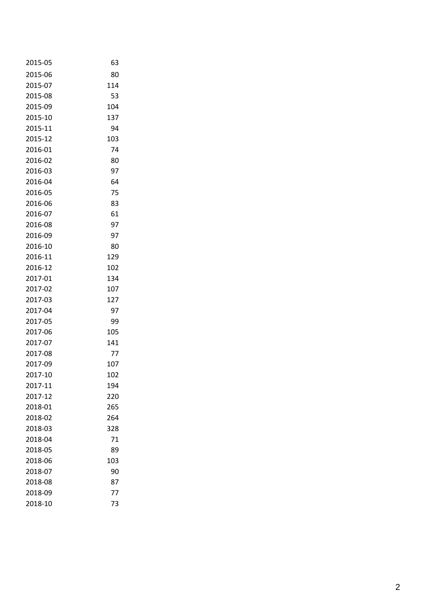| 2015-05 | 63  |
|---------|-----|
| 2015-06 | 80  |
| 2015-07 | 114 |
| 2015-08 | 53  |
| 2015-09 | 104 |
| 2015-10 | 137 |
| 2015-11 | 94  |
| 2015-12 | 103 |
| 2016-01 | 74  |
| 2016-02 | 80  |
| 2016-03 | 97  |
| 2016-04 | 64  |
| 2016-05 | 75  |
| 2016-06 | 83  |
| 2016-07 | 61  |
| 2016-08 | 97  |
| 2016-09 | 97  |
| 2016-10 | 80  |
| 2016-11 | 129 |
| 2016-12 | 102 |
| 2017-01 | 134 |
| 2017-02 | 107 |
| 2017-03 | 127 |
| 2017-04 | 97  |
| 2017-05 | 99  |
| 2017-06 | 105 |
| 2017-07 | 141 |
| 2017-08 | 77  |
| 2017-09 | 107 |
| 2017-10 | 102 |
| 2017-11 | 194 |
| 2017-12 | 220 |
| 2018-01 | 265 |
| 2018-02 | 264 |
| 2018-03 | 328 |
| 2018-04 | 71  |
| 2018-05 | 89  |
| 2018-06 | 103 |
| 2018-07 | 90  |
| 2018-08 | 87  |
| 2018-09 | 77  |
| 2018-10 | 73  |